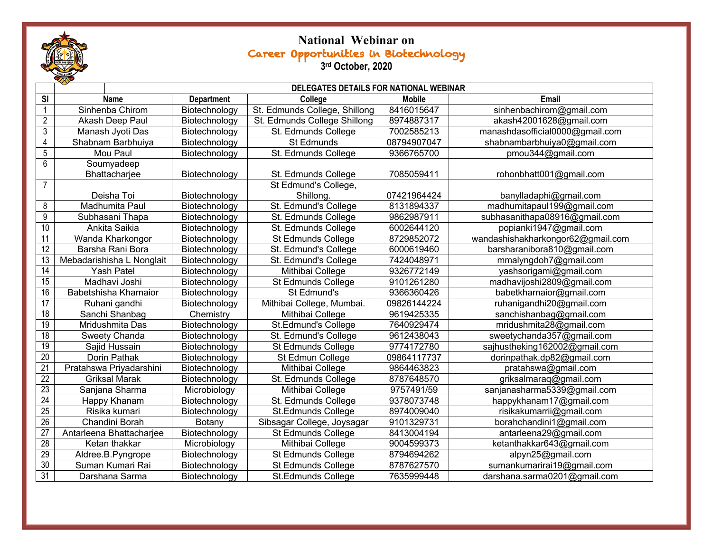

## **National Webinar on**  Career Opportunities in Biotechnology **3rd October, 2020**

|                         | DELEGATES DETAILS FOR NATIONAL WEBINAR |                   |                               |               |                                   |  |  |
|-------------------------|----------------------------------------|-------------------|-------------------------------|---------------|-----------------------------------|--|--|
| $\overline{\mathbf{s}}$ | Name                                   | <b>Department</b> | College                       | <b>Mobile</b> | <b>Email</b>                      |  |  |
| $\mathbf{1}$            | Sinhenba Chirom                        | Biotechnology     | St. Edmunds College, Shillong | 8416015647    | sinhenbachirom@gmail.com          |  |  |
| $\overline{2}$          | Akash Deep Paul                        | Biotechnology     | St. Edmunds College Shillong  | 8974887317    | akash42001628@gmail.com           |  |  |
| $\overline{3}$          | Manash Jyoti Das                       | Biotechnology     | St. Edmunds College           | 7002585213    | manashdasofficial0000@gmail.com   |  |  |
| $\overline{4}$          | Shabnam Barbhuiya                      | Biotechnology     | St Edmunds                    | 08794907047   | shabnambarbhuiya0@gmail.com       |  |  |
| $5\,$                   | Mou Paul                               | Biotechnology     | St. Edmunds College           | 9366765700    | pmou344@gmail.com                 |  |  |
| 6                       | Soumyadeep                             |                   |                               |               |                                   |  |  |
|                         | Bhattacharjee                          | Biotechnology     | St. Edmunds College           | 7085059411    | rohonbhatt001@gmail.com           |  |  |
| $\overline{7}$          |                                        |                   | St Edmund's College,          |               |                                   |  |  |
|                         | Deisha Toi                             | Biotechnology     | Shillong.                     | 07421964424   | banylladaphi@gmail.com            |  |  |
| 8                       | Madhumita Paul                         | Biotechnology     | St. Edmund's College          | 8131894337    | madhumitapaul199@gmail.com        |  |  |
| 9                       | Subhasani Thapa                        | Biotechnology     | St. Edmunds College           | 9862987911    | subhasanithapa08916@gmail.com     |  |  |
| 10                      | Ankita Saikia                          | Biotechnology     | St. Edmunds College           | 6002644120    | popianki1947@gmail.com            |  |  |
| 11                      | Wanda Kharkongor                       | Biotechnology     | St Edmunds College            | 8729852072    | wandashishakharkongor62@gmail.com |  |  |
| 12                      | Barsha Rani Bora                       | Biotechnology     | St. Edmund's College          | 6000619460    | barsharanibora810@gmail.com       |  |  |
| $\overline{13}$         | Mebadarishisha L Nonglait              | Biotechnology     | St. Edmund's College          | 7424048971    | mmalyngdoh7@gmail.com             |  |  |
| 14                      | <b>Yash Patel</b>                      | Biotechnology     | Mithibai College              | 9326772149    | yashsorigami@gmail.com            |  |  |
| $\overline{15}$         | Madhavi Joshi                          | Biotechnology     | St Edmunds College            | 9101261280    | madhavijoshi2809@gmail.com        |  |  |
| 16                      | Babetshisha Kharnaior                  | Biotechnology     | St Edmund's                   | 9366360426    | babetkharnaior@gmail.com          |  |  |
| 17                      | Ruhani gandhi                          | Biotechnology     | Mithibai College, Mumbai.     | 09826144224   | ruhanigandhi20@gmail.com          |  |  |
| 18                      | Sanchi Shanbag                         | Chemistry         | Mithibai College              | 9619425335    | sanchishanbag@gmail.com           |  |  |
| 19                      | Mridushmita Das                        | Biotechnology     | St.Edmund's College           | 7640929474    | mridushmita28@gmail.com           |  |  |
| 18                      | Sweety Chanda                          | Biotechnology     | St. Edmund's College          | 9612438043    | sweetychanda357@gmail.com         |  |  |
| 19                      | Sajid Hussain                          | Biotechnology     | St Edmunds College            | 9774172780    | sajhustheking162002@gmail.com     |  |  |
| 20                      | Dorin Pathak                           | Biotechnology     | St Edmun College              | 09864117737   | dorinpathak.dp82@gmail.com        |  |  |
| 21                      | Pratahswa Priyadarshini                | Biotechnology     | Mithibai College              | 9864463823    | pratahswa@gmail.com               |  |  |
| 22                      | <b>Griksal Marak</b>                   | Biotechnology     | St. Edmunds College           | 8787648570    | griksalmaraq@gmail.com            |  |  |
| 23                      | Sanjana Sharma                         | Microbiology      | Mithibai College              | 9757491/59    | sanjanasharma5339@gmail.com       |  |  |
| 24                      | Happy Khanam                           | Biotechnology     | St. Edmunds College           | 9378073748    | happykhanam17@gmail.com           |  |  |
| 25                      | Risika kumari                          | Biotechnology     | St.Edmunds College            | 8974009040    | risikakumarrii@gmail.com          |  |  |
| 26                      | Chandini Borah                         | Botany            | Sibsagar College, Joysagar    | 9101329731    | borahchandini1@gmail.com          |  |  |
| $\overline{27}$         | Antarleena Bhattacharjee               | Biotechnology     | St Edmunds College            | 8413004194    | antarleena29@gmail.com            |  |  |
| 28                      | Ketan thakkar                          | Microbiology      | Mithibai College              | 9004599373    | ketanthakkar643@gmail.com         |  |  |
| 29                      | Aldree.B.Pyngrope                      | Biotechnology     | St Edmunds College            | 8794694262    | alpyn25@gmail.com                 |  |  |
| $\overline{30}$         | Suman Kumari Rai                       | Biotechnology     | St Edmunds College            | 8787627570    | sumankumarirai19@gmail.com        |  |  |
| 31                      | Darshana Sarma                         | Biotechnology     | St.Edmunds College            | 7635999448    | darshana.sarma0201@gmail.com      |  |  |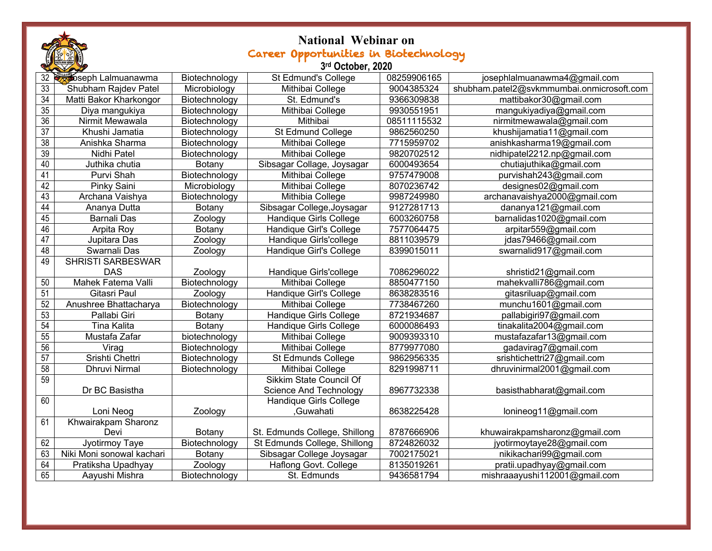|                   | <b>National Webinar on</b>            |               |                                |             |                                           |  |  |  |  |
|-------------------|---------------------------------------|---------------|--------------------------------|-------------|-------------------------------------------|--|--|--|--|
|                   | Career Opportunities in Biotechnology |               |                                |             |                                           |  |  |  |  |
| 3rd October, 2020 |                                       |               |                                |             |                                           |  |  |  |  |
| 32                | <b>Soseph Lalmuanawma</b>             | Biotechnology | St Edmund's College            | 08259906165 | josephlalmuanawma4@gmail.com              |  |  |  |  |
| 33                | Shubham Rajdev Patel                  | Microbiology  | Mithibai College               | 9004385324  | shubham.patel2@svkmmumbai.onmicrosoft.com |  |  |  |  |
| $\overline{34}$   | Matti Bakor Kharkongor                | Biotechnology | St. Edmund's                   | 9366309838  | mattibakor30@gmail.com                    |  |  |  |  |
| 35                | Diya mangukiya                        | Biotechnology | Mithibai College               | 9930551951  | mangukiyadiya@gmail.com                   |  |  |  |  |
| $\overline{36}$   | Nirmit Mewawala                       | Biotechnology | Mithibai                       | 08511115532 | nirmitmewawala@gmail.com                  |  |  |  |  |
| $\overline{37}$   | Khushi Jamatia                        | Biotechnology | St Edmund College              | 9862560250  | khushijamatia11@gmail.com                 |  |  |  |  |
| $\overline{38}$   | Anishka Sharma                        | Biotechnology | Mithibai College               | 7715959702  | anishkasharma19@gmail.com                 |  |  |  |  |
| 39                | Nidhi Patel                           | Biotechnology | Mithibai College               | 9820702512  | nidhipatel2212.np@gmail.com               |  |  |  |  |
| 40                | Juthika chutia                        | Botany        | Sibsagar Collage, Joysagar     | 6000493654  | chutiajuthika@gmail.com                   |  |  |  |  |
| 41                | Purvi Shah                            | Biotechnology | Mithibai College               | 9757479008  | purvishah243@gmail.com                    |  |  |  |  |
| 42                | Pinky Saini                           | Microbiology  | Mithibai College               | 8070236742  | designes02@gmail.com                      |  |  |  |  |
| 43                | Archana Vaishya                       | Biotechnology | Mithibia College               | 9987249980  | archanavaishya2000@gmail.com              |  |  |  |  |
| 44                | Ananya Dutta                          | Botany        | Sibsagar College, Joysagar     | 9127281713  | dananya121@gmail.com                      |  |  |  |  |
| 45                | <b>Barnali Das</b>                    | Zoology       | Handique Girls College         | 6003260758  | barnalidas1020@gmail.com                  |  |  |  |  |
| 46                | Arpita Roy                            | Botany        | Handique Girl's College        | 7577064475  | arpitar559@gmail.com                      |  |  |  |  |
| 47                | Jupitara Das                          | Zoology       | Handique Girls'college         | 8811039579  | idas79466@gmail.com                       |  |  |  |  |
| 48                | Swarnali Das                          | Zoology       | Handique Girl's College        | 8399015011  | swarnalid917@gmail.com                    |  |  |  |  |
| 49                | <b>SHRISTI SARBESWAR</b>              |               |                                |             |                                           |  |  |  |  |
|                   | <b>DAS</b>                            | Zoology       | Handique Girls'college         | 7086296022  | shristid21@gmail.com                      |  |  |  |  |
| 50                | Mahek Fatema Valli                    | Biotechnology | Mithibai College               | 8850477150  | mahekvalli786@gmail.com                   |  |  |  |  |
| 51                | Gitasri Paul                          | Zoology       | Handique Girl's College        | 8638283516  | gitasriluap@gmail.com                     |  |  |  |  |
| 52                | Anushree Bhattacharya                 | Biotechnology | Mithibai College               | 7738467260  | munchu1601@gmail.com                      |  |  |  |  |
| 53                | Pallabi Giri                          | <b>Botany</b> | Handique Girls College         | 8721934687  | pallabigiri97@gmail.com                   |  |  |  |  |
| 54                | <b>Tina Kalita</b>                    | Botany        | Handique Girls College         | 6000086493  | tinakalita2004@gmail.com                  |  |  |  |  |
| 55                | Mustafa Zafar                         | biotechnology | Mithibai College               | 9009393310  | mustafazafar13@gmail.com                  |  |  |  |  |
| 56                | Virag                                 | Biotechnology | Mithibai College               | 8779977080  | gadavirag7@gmail.com                      |  |  |  |  |
| 57                | Srishti Chettri                       | Biotechnology | <b>St Edmunds College</b>      | 9862956335  | srishtichettri27@gmail.com                |  |  |  |  |
| $\overline{58}$   | <b>Dhruvi Nirmal</b>                  | Biotechnology | Mithibai College               | 8291998711  | dhruvinirmal2001@gmail.com                |  |  |  |  |
| 59                |                                       |               | <b>Sikkim State Council Of</b> |             |                                           |  |  |  |  |
|                   | Dr BC Basistha                        |               | <b>Science And Technology</b>  | 8967732338  | basisthabharat@gmail.com                  |  |  |  |  |
| 60                |                                       |               | Handique Girls College         |             |                                           |  |  |  |  |
|                   | Loni Neog                             | Zoology       | Guwahati.                      | 8638225428  | lonineog11@gmail.com                      |  |  |  |  |
| 61                | Khwairakpam Sharonz                   |               |                                |             |                                           |  |  |  |  |
|                   | Devi                                  | Botany        | St. Edmunds College, Shillong  | 8787666906  | khuwairakpamsharonz@gmail.com             |  |  |  |  |
| 62                | Jyotirmoy Taye                        | Biotechnology | St Edmunds College, Shillong   | 8724826032  | jyotirmoytaye28@gmail.com                 |  |  |  |  |
| 63                | Niki Moni sonowal kachari             | Botany        | Sibsagar College Joysagar      | 7002175021  | nikikachari99@gmail.com                   |  |  |  |  |
| 64                | Pratiksha Upadhyay                    | Zoology       | Haflong Govt. College          | 8135019261  | pratii.upadhyay@gmail.com                 |  |  |  |  |
| 65                | Aayushi Mishra                        | Biotechnology | St. Edmunds                    | 9436581794  | mishraaayushi112001@gmail.com             |  |  |  |  |